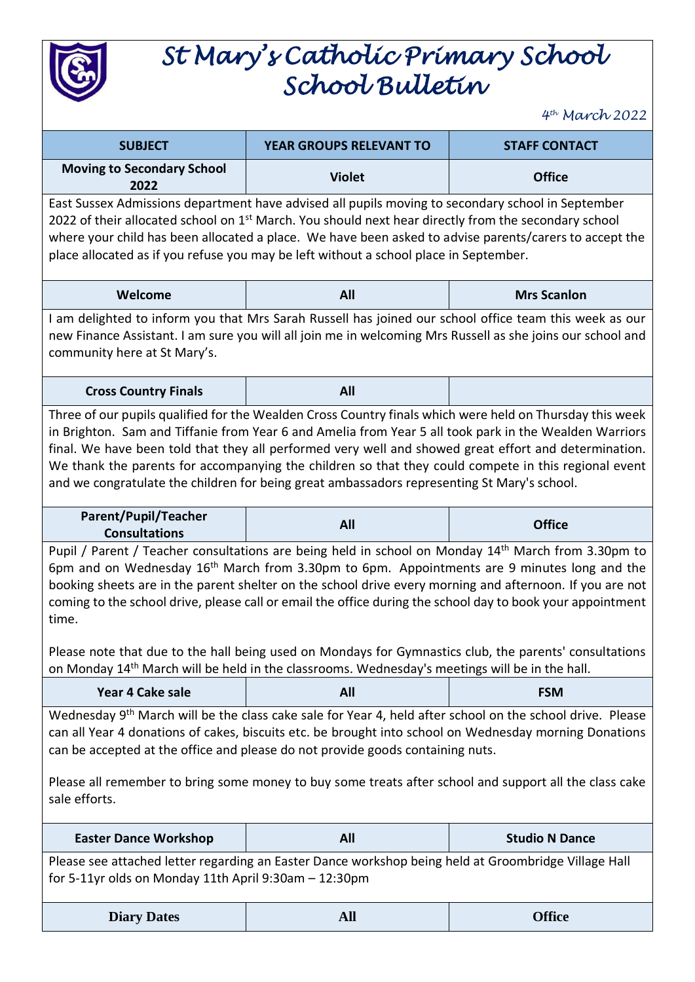

# *St Mary's Catholic Primary School School Bulletin*

*4 th March 2022*

| <b>SUBJECT</b>                                                                                                                                                                                                                                                                                                                                                                                                                                                                                                                                                | YEAR GROUPS RELEVANT TO | <b>STAFF CONTACT</b>  |
|---------------------------------------------------------------------------------------------------------------------------------------------------------------------------------------------------------------------------------------------------------------------------------------------------------------------------------------------------------------------------------------------------------------------------------------------------------------------------------------------------------------------------------------------------------------|-------------------------|-----------------------|
| <b>Moving to Secondary School</b><br>2022                                                                                                                                                                                                                                                                                                                                                                                                                                                                                                                     | <b>Violet</b>           | <b>Office</b>         |
| East Sussex Admissions department have advised all pupils moving to secondary school in September<br>2022 of their allocated school on 1 <sup>st</sup> March. You should next hear directly from the secondary school<br>where your child has been allocated a place. We have been asked to advise parents/carers to accept the<br>place allocated as if you refuse you may be left without a school place in September.                                                                                                                                      |                         |                       |
| Welcome                                                                                                                                                                                                                                                                                                                                                                                                                                                                                                                                                       | All                     | <b>Mrs Scanlon</b>    |
| I am delighted to inform you that Mrs Sarah Russell has joined our school office team this week as our<br>new Finance Assistant. I am sure you will all join me in welcoming Mrs Russell as she joins our school and<br>community here at St Mary's.                                                                                                                                                                                                                                                                                                          |                         |                       |
| <b>Cross Country Finals</b>                                                                                                                                                                                                                                                                                                                                                                                                                                                                                                                                   | All                     |                       |
| Three of our pupils qualified for the Wealden Cross Country finals which were held on Thursday this week<br>in Brighton. Sam and Tiffanie from Year 6 and Amelia from Year 5 all took park in the Wealden Warriors<br>final. We have been told that they all performed very well and showed great effort and determination.<br>We thank the parents for accompanying the children so that they could compete in this regional event<br>and we congratulate the children for being great ambassadors representing St Mary's school.                            |                         |                       |
| <b>Parent/Pupil/Teacher</b><br><b>Consultations</b>                                                                                                                                                                                                                                                                                                                                                                                                                                                                                                           | All                     | <b>Office</b>         |
| Pupil / Parent / Teacher consultations are being held in school on Monday 14 <sup>th</sup> March from 3.30pm to<br>6pm and on Wednesday $16th$ March from 3.30pm to 6pm. Appointments are 9 minutes long and the<br>booking sheets are in the parent shelter on the school drive every morning and afternoon. If you are not<br>coming to the school drive, please call or email the office during the school day to book your appointment<br>time.<br>Please note that due to the hall being used on Mondays for Gymnastics club, the parents' consultations |                         |                       |
| on Monday 14 <sup>th</sup> March will be held in the classrooms. Wednesday's meetings will be in the hall.                                                                                                                                                                                                                                                                                                                                                                                                                                                    |                         |                       |
| Year 4 Cake sale                                                                                                                                                                                                                                                                                                                                                                                                                                                                                                                                              | All                     | <b>FSM</b>            |
| Wednesday 9 <sup>th</sup> March will be the class cake sale for Year 4, held after school on the school drive. Please<br>can all Year 4 donations of cakes, biscuits etc. be brought into school on Wednesday morning Donations<br>can be accepted at the office and please do not provide goods containing nuts.<br>Please all remember to bring some money to buy some treats after school and support all the class cake<br>sale efforts.                                                                                                                  |                         |                       |
| <b>Easter Dance Workshop</b>                                                                                                                                                                                                                                                                                                                                                                                                                                                                                                                                  | All                     | <b>Studio N Dance</b> |
| Please see attached letter regarding an Easter Dance workshop being held at Groombridge Village Hall<br>for 5-11yr olds on Monday 11th April 9:30am - 12:30pm                                                                                                                                                                                                                                                                                                                                                                                                 |                         |                       |
| <b>Diary Dates</b>                                                                                                                                                                                                                                                                                                                                                                                                                                                                                                                                            | <b>All</b>              | <b>Office</b>         |